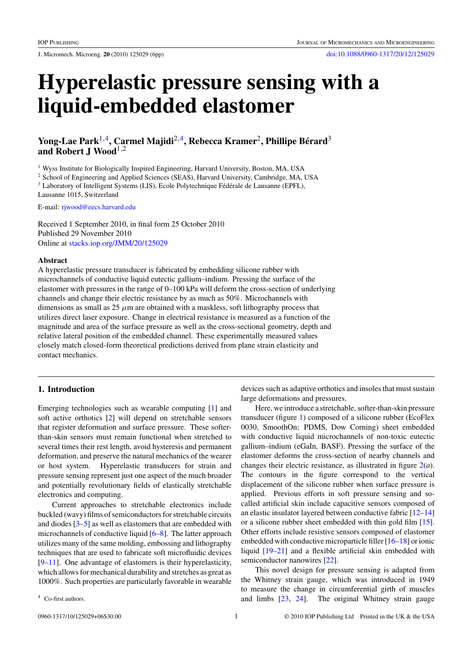J. Micromech. Microeng. **20** (2010) 125029 (6pp) [doi:10.1088/0960-1317/20/12/125029](http://dx.doi.org/10.1088/0960-1317/20/12/125029)

# **Hyperelastic pressure sensing with a liquid-embedded elastomer**

# **Yong-Lae Park**1,4**, Carmel Majidi**2,4**, Rebecca Kramer**2**, Phillipe Berard ´** <sup>3</sup> **and Robert J Wood**1,2

<sup>1</sup> Wyss Institute for Biologically Inspired Engineering, Harvard University, Boston, MA, USA

<sup>2</sup> School of Engineering and Applied Sciences (SEAS), Harvard University, Cambridge, MA, USA

<sup>3</sup> Laboratory of Intelligent Systems (LIS), Ecole Polytechnique Fédérale de Lausanne (EPFL),

Lausanne 1015, Switzerland

E-mail: [rjwood@eecs.harvard.edu](mailto:rjwood@eecs.harvard.edu)

Received 1 September 2010, in final form 25 October 2010 Published 29 November 2010 Online at [stacks.iop.org/JMM/20/125029](http://stacks.iop.org/JMM/20/125029)

#### **Abstract**

A hyperelastic pressure transducer is fabricated by embedding silicone rubber with microchannels of conductive liquid eutectic gallium–indium. Pressing the surface of the elastomer with pressures in the range of 0–100 kPa will deform the cross-section of underlying channels and change their electric resistance by as much as 50%. Microchannels with dimensions as small as 25 *μ*m are obtained with a maskless, soft lithography process that utilizes direct laser exposure. Change in electrical resistance is measured as a function of the magnitude and area of the surface pressure as well as the cross-sectional geometry, depth and relative lateral position of the embedded channel. These experimentally measured values closely match closed-form theoretical predictions derived from plane strain elasticity and contact mechanics.

## **1. Introduction**

Emerging technologies such as wearable computing [\[1](#page-4-0)] and soft active orthotics [\[2](#page-4-0)] will depend on stretchable sensors that register deformation and surface pressure. These softerthan-skin sensors must remain functional when stretched to several times their rest length, avoid hysteresis and permanent deformation, and preserve the natural mechanics of the wearer or host system. Hyperelastic transducers for strain and pressure sensing represent just one aspect of the much broader and potentially revolutionary fields of elastically stretchable electronics and computing.

Current approaches to stretchable electronics include buckled (wavy) films of semiconductors for stretchable circuits and diodes [\[3](#page-4-0)[–5\]](#page-5-0) as well as elastomers that are embedded with microchannels of conductive liquid [\[6–8](#page-5-0)]. The latter approach utilizes many of the same molding, embossing and lithography techniques that are used to fabricate soft microfluidic devices [\[9–11](#page-5-0)]. One advantage of elastomers is their hyperelasticity, which allows for mechanical durability and stretches as great as 1000%. Such properties are particularly favorable in wearable devices such as adaptive orthotics and insoles that must sustain large deformations and pressures.

Here, we introduce a stretchable, softer-than-skin pressure transducer (figure [1\)](#page-1-0) composed of a silicone rubber (EcoFlex 0030, SmoothOn; PDMS, Dow Corning) sheet embedded with conductive liquid microchannels of non-toxic eutectic gallium–indium (eGaIn, BASF). Pressing the surface of the elastomer deforms the cross-section of nearby channels and changes their electric resistance, as illustrated in figure [2\(](#page-2-0)*a*). The contours in the figure correspond to the vertical displacement of the silicone rubber when surface pressure is applied. Previous efforts in soft pressure sensing and socalled artificial skin include capacitive sensors composed of an elastic insulator layered between conductive fabric [\[12–14\]](#page-5-0) or a silicone rubber sheet embedded with thin gold film [\[15](#page-5-0)]. Other efforts include resistive sensors composed of elastomer embedded with conductive microparticle filler [\[16–18](#page-5-0)] or ionic liquid [\[19–21\]](#page-5-0) and a flexible artificial skin embedded with semiconductor nanowires [\[22\]](#page-5-0).

This novel design for pressure sensing is adapted from the Whitney strain gauge, which was introduced in 1949 to measure the change in circumferential girth of muscles and limbs [\[23,](#page-5-0) [24](#page-5-0)]. The original Whitney strain gauge

<sup>4</sup> Co-first authors.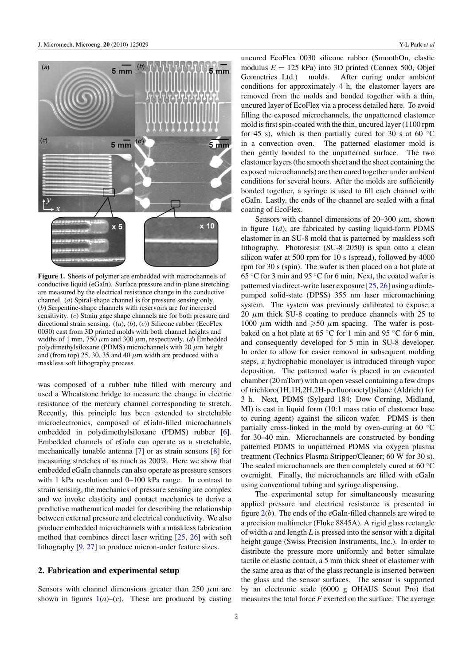<span id="page-1-0"></span>

**Figure 1.** Sheets of polymer are embedded with microchannels of conductive liquid (eGaIn). Surface pressure and in-plane stretching are measured by the electrical resistance change in the conductive channel. (*a*) Spiral-shape channel is for pressure sensing only. (*b*) Serpentine-shape channels with reservoirs are for increased sensitivity. (*c*) Strain gage shape channels are for both pressure and directional strain sensing. ((*a*), (*b*), (*c*)) Silicone rubber (EcoFlex 0030) cast from 3D printed molds with both channel heights and widths of 1 mm, 750  $\mu$ m and 300  $\mu$ m, respectively. (*d*) Embedded polydimethylsiloxane (PDMS) microchannels with 20 *μ*m height and (from top) 25, 30, 35 and 40  $\mu$ m width are produced with a maskless soft lithography process.

was composed of a rubber tube filled with mercury and used a Wheatstone bridge to measure the change in electric resistance of the mercury channel corresponding to stretch. Recently, this principle has been extended to stretchable microelectronics, composed of eGaIn-filled microchannels embedded in polydimethylsiloxane (PDMS) rubber [\[6](#page-5-0)]. Embedded channels of eGaIn can operate as a stretchable, mechanically tunable antenna [\[7](#page-5-0)] or as strain sensors [\[8](#page-5-0)] for measuring stretches of as much as 200%. Here we show that embedded eGaIn channels can also operate as pressure sensors with 1 kPa resolution and 0–100 kPa range. In contrast to strain sensing, the mechanics of pressure sensing are complex and we invoke elasticity and contact mechanics to derive a predictive mathematical model for describing the relationship between external pressure and electrical conductivity. We also produce embedded microchannels with a maskless fabrication method that combines direct laser writing [\[25,](#page-5-0) [26\]](#page-5-0) with soft lithography [\[9,](#page-5-0) [27\]](#page-5-0) to produce micron-order feature sizes.

#### **2. Fabrication and experimental setup**

Sensors with channel dimensions greater than 250 *μ*m are shown in figures  $1(a)$ –(*c*). These are produced by casting uncured EcoFlex 0030 silicone rubber (SmoothOn, elastic modulus  $E = 125$  kPa) into 3D printed (Connex 500, Objet Geometries Ltd.) molds. After curing under ambient conditions for approximately 4 h, the elastomer layers are removed from the molds and bonded together with a thin, uncured layer of EcoFlex via a process detailed here. To avoid filling the exposed microchannels, the unpatterned elastomer mold is first spin-coated with the thin, uncured layer (1100 rpm for 45 s), which is then partially cured for 30 s at 60  $°C$ in a convection oven. The patterned elastomer mold is then gently bonded to the unpatterned surface. The two elastomer layers (the smooth sheet and the sheet containing the exposed microchannels) are then cured together under ambient conditions for several hours. After the molds are sufficiently bonded together, a syringe is used to fill each channel with eGaIn. Lastly, the ends of the channel are sealed with a final coating of EcoFlex.

Sensors with channel dimensions of 20–300 *μ*m, shown in figure  $1(d)$ , are fabricated by casting liquid-form PDMS elastomer in an SU-8 mold that is patterned by maskless soft lithography. Photoresist (SU-8 2050) is spun onto a clean silicon wafer at 500 rpm for 10 s (spread), followed by 4000 rpm for 30 s (spin). The wafer is then placed on a hot plate at 65 °C for 3 min and 95 °C for 6 min. Next, the coated wafer is patterned via direct-write laser exposure [\[25,](#page-5-0) [26\]](#page-5-0) using a diodepumped solid-state (DPSS) 355 nm laser micromachining system. The system was previously calibrated to expose a 20  $\mu$ m thick SU-8 coating to produce channels with 25 to 1000  $\mu$ m width and  $\geq 50 \mu$ m spacing. The wafer is postbaked on a hot plate at  $65^{\circ}$ C for 1 min and  $95^{\circ}$ C for 6 min, and consequently developed for 5 min in SU-8 developer. In order to allow for easier removal in subsequent molding steps, a hydrophobic monolayer is introduced through vapor deposition. The patterned wafer is placed in an evacuated chamber (20 mTorr) with an open vessel containing a few drops of trichloro(1H,1H,2H,2H-perfluorooctyl)silane (Aldrich) for 3 h. Next, PDMS (Sylgard 184; Dow Corning, Midland, MI) is cast in liquid form (10:1 mass ratio of elastomer base to curing agent) against the silicon wafer. PDMS is then partially cross-linked in the mold by oven-curing at 60  $°C$ for 30–40 min. Microchannels are constructed by bonding patterned PDMS to unpatterned PDMS via oxygen plasma treatment (Technics Plasma Stripper/Cleaner; 60 W for 30 s). The sealed microchannels are then completely cured at 60 ◦C overnight. Finally, the microchannels are filled with eGaIn using conventional tubing and syringe dispensing.

The experimental setup for simultaneously measuring applied pressure and electrical resistance is presented in figure [2\(](#page-2-0)*b*). The ends of the eGaIn-filled channels are wired to a precision multimeter (Fluke 8845A). A rigid glass rectangle of width *a* and length *L* is pressed into the sensor with a digital height gauge (Swiss Precision Instruments, Inc.). In order to distribute the pressure more uniformly and better simulate tactile or elastic contact, a 5 mm thick sheet of elastomer with the same area as that of the glass rectangle is inserted between the glass and the sensor surfaces. The sensor is supported by an electronic scale (6000 g OHAUS Scout Pro) that measures the total force *F* exerted on the surface. The average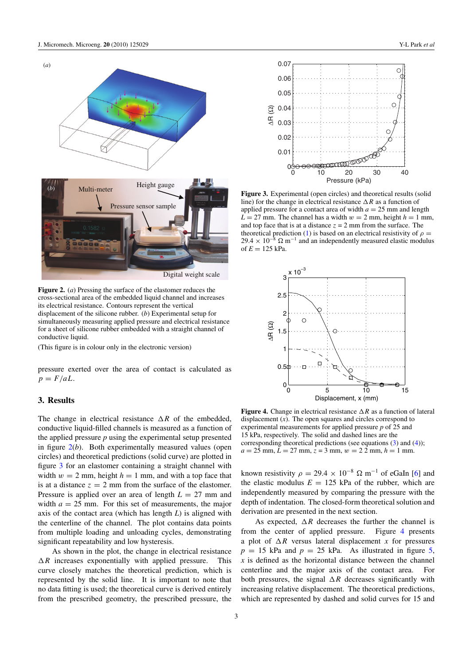<span id="page-2-0"></span>

**Figure 2.** (*a*) Pressing the surface of the elastomer reduces the cross-sectional area of the embedded liquid channel and increases its electrical resistance. Contours represent the vertical displacement of the silicone rubber. (*b*) Experimental setup for simultaneously measuring applied pressure and electrical resistance for a sheet of silicone rubber embedded with a straight channel of conductive liquid.

(This figure is in colour only in the electronic version)

pressure exerted over the area of contact is calculated as  $p = F/aL$ .

#### **3. Results**

The change in electrical resistance  $\Delta R$  of the embedded, conductive liquid-filled channels is measured as a function of the applied pressure *p* using the experimental setup presented in figure  $2(b)$ . Both experimentally measured values (open circles) and theoretical predictions (solid curve) are plotted in figure 3 for an elastomer containing a straight channel with width  $w = 2$  mm, height  $h = 1$  mm, and with a top face that is at a distance  $z = 2$  mm from the surface of the elastomer. Pressure is applied over an area of length  $L = 27$  mm and width  $a = 25$  mm. For this set of measurements, the major axis of the contact area (which has length *L*) is aligned with the centerline of the channel. The plot contains data points from multiple loading and unloading cycles, demonstrating significant repeatability and low hysteresis.

As shown in the plot, the change in electrical resistance  $\Delta R$  increases exponentially with applied pressure. This curve closely matches the theoretical prediction, which is represented by the solid line. It is important to note that no data fitting is used; the theoretical curve is derived entirely from the prescribed geometry, the prescribed pressure, the



**Figure 3.** Experimental (open circles) and theoretical results (solid line) for the change in electrical resistance  $\Delta R$  as a function of applied pressure for a contact area of width  $a = 25$  mm and length  $L = 27$  mm. The channel has a width  $w = 2$  mm, height  $h = 1$  mm, and top face that is at a distance  $z = 2$  mm from the surface. The theoretical prediction [\(1\)](#page-3-0) is based on an electrical resistivity of  $\rho =$ 29.4 ×  $10^{-8}$   $\Omega$  m<sup>-1</sup> and an independently measured elastic modulus of  $E = 125$  kPa.



**Figure 4.** Change in electrical resistance  $\Delta R$  as a function of lateral displacement  $(x)$ . The open squares and circles correspond to experimental measurements for applied pressure *p* of 25 and 15 kPa, respectively. The solid and dashed lines are the corresponding theoretical predictions (see equations [\(3\)](#page-3-0) and [\(4\)](#page-3-0));  $a = 25$  mm,  $L = 27$  mm,  $z = 3$  mm,  $w = 22$  mm,  $h = 1$  mm.

known resistivity  $\rho = 29.4 \times 10^{-8} \Omega \text{ m}^{-1}$  of eGaIn [\[6](#page-5-0)] and the elastic modulus  $E = 125$  kPa of the rubber, which are independently measured by comparing the pressure with the depth of indentation. The closed-form theoretical solution and derivation are presented in the next section.

As expected,  $\Delta R$  decreases the further the channel is from the center of applied pressure. Figure 4 presents a plot of  $\Delta R$  versus lateral displacement *x* for pressures  $p = 15$  kPa and  $p = 25$  kPa. As illustrated in figure [5,](#page-3-0) *x* is defined as the horizontal distance between the channel centerline and the major axis of the contact area. For both pressures, the signal  $\Delta R$  decreases significantly with increasing relative displacement. The theoretical predictions, which are represented by dashed and solid curves for 15 and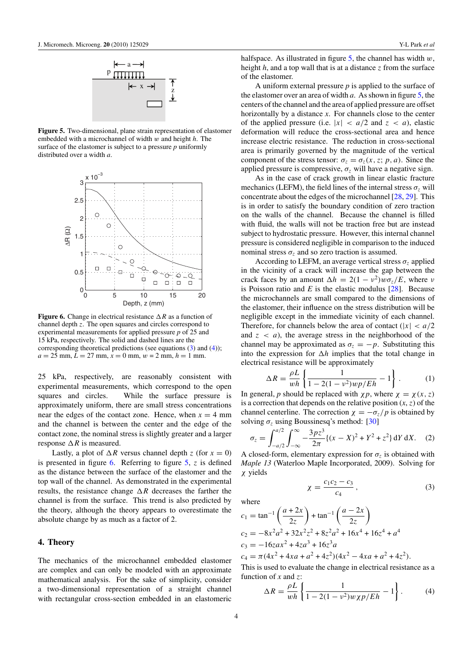<span id="page-3-0"></span>

**Figure 5.** Two-dimensional, plane strain representation of elastomer embedded with a microchannel of width *w* and height *h*. The surface of the elastomer is subject to a pressure *p* uniformly distributed over a width *a*.



**Figure 6.** Change in electrical resistance  $\Delta R$  as a function of channel depth *z*. The open squares and circles correspond to experimental measurements for applied pressure *p* of 25 and 15 kPa, respectively. The solid and dashed lines are the corresponding theoretical predictions (see equations (3) and (4));  $a = 25$  mm,  $L = 27$  mm,  $x = 0$  mm,  $w = 2$  mm,  $h = 1$  mm.

25 kPa, respectively, are reasonably consistent with experimental measurements, which correspond to the open squares and circles. While the surface pressure is approximately uniform, there are small stress concentrations near the edges of the contact zone. Hence, when  $x = 4$  mm and the channel is between the center and the edge of the contact zone, the nominal stress is slightly greater and a larger response  $\Delta R$  is measured.

Lastly, a plot of  $\Delta R$  versus channel depth *z* (for  $x = 0$ ) is presented in figure 6. Referring to figure 5, *z* is defined as the distance between the surface of the elastomer and the top wall of the channel. As demonstrated in the experimental results, the resistance change  $\Delta R$  decreases the farther the channel is from the surface. This trend is also predicted by the theory, although the theory appears to overestimate the absolute change by as much as a factor of 2.

#### **4. Theory**

The mechanics of the microchannel embedded elastomer are complex and can only be modeled with an approximate mathematical analysis. For the sake of simplicity, consider a two-dimensional representation of a straight channel with rectangular cross-section embedded in an elastomeric

halfspace. As illustrated in figure 5, the channel has width *w*, height *h*, and a top wall that is at a distance *z* from the surface of the elastomer.

A uniform external pressure *p* is applied to the surface of the elastomer over an area of width *a*. As shown in figure 5, the centers of the channel and the area of applied pressure are offset horizontally by a distance *x*. For channels close to the center of the applied pressure (i.e.  $|x| < a/2$  and  $z < a$ ), elastic deformation will reduce the cross-sectional area and hence increase electric resistance. The reduction in cross-sectional area is primarily governed by the magnitude of the vertical component of the stress tensor:  $\sigma_z = \sigma_z(x, z; p, a)$ . Since the applied pressure is compressive,  $\sigma_z$  will have a negative sign.

As in the case of crack growth in linear elastic fracture mechanics (LEFM), the field lines of the internal stress  $\sigma$ <sub>z</sub> will concentrate about the edges of the microchannel [\[28,](#page-5-0) [29](#page-5-0)]. This is in order to satisfy the boundary condition of zero traction on the walls of the channel. Because the channel is filled with fluid, the walls will not be traction free but are instead subject to hydrostatic pressure. However, this internal channel pressure is considered negligible in comparison to the induced nominal stress  $\sigma_z$  and so zero traction is assumed.

According to LEFM, an average vertical stress  $\sigma_z$  applied in the vicinity of a crack will increase the gap between the crack faces by an amount  $\Delta h = 2(1 - v^2)w\sigma_z/E$ , where *ν* is Poisson ratio and  $E$  is the elastic modulus  $[28]$ . Because the microchannels are small compared to the dimensions of the elastomer, their influence on the stress distribution will be negligible except in the immediate vicinity of each channel. Therefore, for channels below the area of contact  $(|x| < a/2$ and  $z < a$ ), the average stress in the neighborhood of the channel may be approximated as  $\sigma_z = -p$ . Substituting this into the expression for  $\Delta h$  implies that the total change in electrical resistance will be approximately

$$
\Delta R = \frac{\rho L}{wh} \left\{ \frac{1}{1 - 2(1 - v^2)wp/Eh} - 1 \right\}.
$$
 (1)

In general, *p* should be replaced with  $\chi p$ , where  $\chi = \chi(x, z)$ is a correction that depends on the relative position  $(x, z)$  of the channel centerline. The correction  $\chi = -\sigma_z/p$  is obtained by solving  $\sigma$ <sub>z</sub> using Boussinesq's method: [\[30\]](#page-5-0)

$$
\sigma_z = \int_{-a/2}^{a/2} \int_{-\infty}^{\infty} -\frac{3pz^3}{2\pi} \{ (x - X)^2 + Y^2 + z^2 \} dY dX. \tag{2}
$$

A closed-form, elementary expression for  $\sigma_z$  is obtained with *Maple 13* (Waterloo Maple Incorporated, 2009). Solving for *χ* yields

$$
\chi=\frac{c_1c_2-c_3}{c_4}\,,
$$

*,* (3)

where

$$
c_1 = \tan^{-1}\left(\frac{a+2x}{2z}\right) + \tan^{-1}\left(\frac{a-2x}{2z}\right)
$$
  
\n
$$
c_2 = -8x^2a^2 + 32x^2z^2 + 8z^2a^2 + 16x^4 + 16z^4 + a^4
$$
  
\n
$$
c_3 = -16zax^2 + 4za^3 + 16z^3a
$$

 $c_4 = \pi (4x^2 + 4xa + a^2 + 4z^2)(4x^2 - 4xa + a^2 + 4z^2).$ This is used to evaluate the change in electrical resistance as a

function of x and z:  
\n
$$
\Delta R = \frac{\rho L}{wh} \left\{ \frac{1}{1 - 2(1 - v^2)w\chi p/Eh} - 1 \right\}.
$$
\n(4)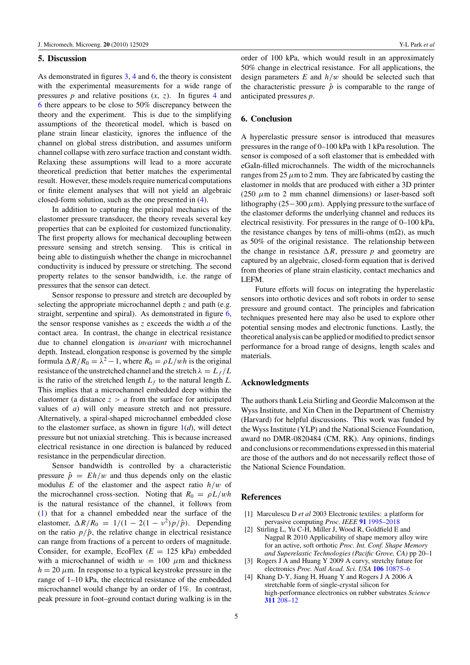#### <span id="page-4-0"></span>**5. Discussion**

As demonstrated in figures [3,](#page-2-0) [4](#page-2-0) and [6,](#page-3-0) the theory is consistent with the experimental measurements for a wide range of pressures  $p$  and relative positions  $(x, z)$ . In figures [4](#page-2-0) and [6](#page-3-0) there appears to be close to 50% discrepancy between the theory and the experiment. This is due to the simplifying assumptions of the theoretical model, which is based on plane strain linear elasticity, ignores the influence of the channel on global stress distribution, and assumes uniform channel collapse with zero surface traction and constant width. Relaxing these assumptions will lead to a more accurate theoretical prediction that better matches the experimental result. However, these models require numerical computations or finite element analyses that will not yield an algebraic closed-form solution, such as the one presented in [\(4\)](#page-3-0).

In addition to capturing the principal mechanics of the elastomer pressure transducer, the theory reveals several key properties that can be exploited for customized functionality. The first property allows for mechanical decoupling between pressure sensing and stretch sensing. This is critical in being able to distinguish whether the change in microchannel conductivity is induced by pressure or stretching. The second property relates to the sensor bandwidth, i.e. the range of pressures that the sensor can detect.

Sensor response to pressure and stretch are decoupled by selecting the appropriate microchannel depth *z* and path (e.g. straight, serpentine and spiral). As demonstrated in figure [6,](#page-3-0) the sensor response vanishes as *z* exceeds the width *a* of the contact area. In contrast, the change in electrical resistance due to channel elongation is *invariant* with microchannel depth. Instead, elongation response is governed by the simple formula  $\Delta R/R_0 = \lambda^2 - 1$ , where  $R_0 = \rho L/wh$  is the original resistance of the unstretched channel and the stretch  $\lambda = L_f/L$ is the ratio of the stretched length  $L_f$  to the natural length  $L$ . This implies that a microchannel embedded deep within the elastomer (a distance  $z > a$  from the surface for anticipated values of *a*) will only measure stretch and not pressure. Alternatively, a spiral-shaped microchannel embedded close to the elastomer surface, as shown in figure  $1(d)$  $1(d)$ , will detect pressure but not uniaxial stretching. This is because increased electrical resistance in one direction is balanced by reduced resistance in the perpendicular direction.

Sensor bandwidth is controlled by a characteristic pressure  $\hat{p} = Eh/w$  and thus depends only on the elastic modulus *E* of the elastomer and the aspect ratio *h/w* of the microchannel cross-section. Noting that  $R_0 = \rho L / wh$ is the natural resistance of the channel, it follows from [\(1\)](#page-3-0) that for a channel embedded near the surface of the elastomer,  $\Delta R/R_0 = 1/(1 - 2(1 - v^2)p/\hat{p})$ . Depending on the ratio  $p/\hat{p}$ , the relative change in electrical resistance can range from fractions of a percent to orders of magnitude. Consider, for example, EcoFlex  $(E = 125 \text{ kPa})$  embedded with a microchannel of width  $w = 100 \mu m$  and thickness  $h = 20 \mu$ m. In response to a typical keystroke pressure in the range of 1–10 kPa, the electrical resistance of the embedded microchannel would change by an order of 1%. In contrast, peak pressure in foot–ground contact during walking is in the

order of 100 kPa, which would result in an approximately 50% change in electrical resistance. For all applications, the design parameters *E* and *h/w* should be selected such that the characteristic pressure  $\hat{p}$  is comparable to the range of anticipated pressures *p*.

#### **6. Conclusion**

A hyperelastic pressure sensor is introduced that measures pressures in the range of 0–100 kPa with 1 kPa resolution. The sensor is composed of a soft elastomer that is embedded with eGaIn-filled microchannels. The width of the microchannels ranges from  $25 \mu m$  to 2 mm. They are fabricated by casting the elastomer in molds that are produced with either a 3D printer (250  $\mu$ m to 2 mm channel dimensions) or laser-based soft lithography (25−300*μ*m). Applying pressure to the surface of the elastomer deforms the underlying channel and reduces its electrical resistivity. For pressures in the range of 0–100 kPa, the resistance changes by tens of milli-ohms  $(m\Omega)$ , as much as 50% of the original resistance. The relationship between the change in resistance  $\Delta R$ , pressure p and geometry are captured by an algebraic, closed-form equation that is derived from theories of plane strain elasticity, contact mechanics and LEFM.

Future efforts will focus on integrating the hyperelastic sensors into orthotic devices and soft robots in order to sense pressure and ground contact. The principles and fabrication techniques presented here may also be used to explore other potential sensing modes and electronic functions. Lastly, the theoretical analysis can be applied or modified to predict sensor performance for a broad range of designs, length scales and materials.

#### **Acknowledgments**

The authors thank Leia Stirling and Geordie Malcomson at the Wyss Institute, and Xin Chen in the Department of Chemistry (Harvard) for helpful discussions. This work was funded by the Wyss Institute (YLP) and the National Science Foundation, award no DMR-0820484 (CM, RK). Any opinions, findings and conclusions or recommendations expressed in this material are those of the authors and do not necessarily reflect those of the National Science Foundation.

## **References**

- [1] Marculescu D *et al* 2003 Electronic textiles: a platform for pervasive computing *Proc. IEEE* **91** [1995–2018](http://dx.doi.org/10.1109/JPROC.2003.819612)
- [2] Stirling L, Yu C-H, Miller J, Wood R, Goldfield E and Nagpal R 2010 Applicability of shape memory alloy wire for an active, soft orthotic *Proc. Int. Conf. Shape Memory and Superelastic Technologies (Pacific Grove, CA)* pp 20–1
- [3] Rogers J A and Huang Y 2009 A curvy, stretchy future for electronics *Proc. Natl Acad. Sci. USA* **106** [10875–6](http://dx.doi.org/10.1073/pnas.0905723106)
- [4] Khang D-Y, Jiang H, Huang Y and Rogers J A 2006 A stretchable form of single-crystal silicon for high-performance electronics on rubber substrates *Science* **311** [208–12](http://dx.doi.org/10.1126/science.1121401)